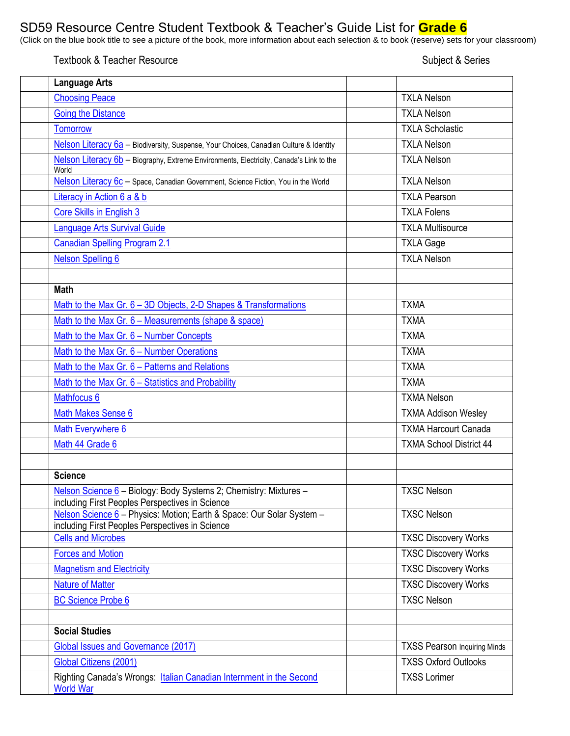## SD59 Resource Centre Student Textbook & Teacher's Guide List for **Grade 6**

CLICE INTERNATION CONTROLLER TO CHANGE IN CONSIDERT OF CHANGE LICE IST CHANGE OF THE BURGE OF THE BURGE OF THE BURGE OF THE BURGE OF THE BURGE OF THE BURGE OF THE BURGE OF THE BURGE OF THE BURGE OF THE BURGE OF YOUR CLISS

## Textbook & Teacher Resource Subject & Series

| <b>Language Arts</b>                                                                                                     |                                     |
|--------------------------------------------------------------------------------------------------------------------------|-------------------------------------|
| <b>Choosing Peace</b>                                                                                                    | <b>TXLA Nelson</b>                  |
| <b>Going the Distance</b>                                                                                                | <b>TXLA Nelson</b>                  |
| <b>Tomorrow</b>                                                                                                          | <b>TXLA Scholastic</b>              |
| Nelson Literacy 6a - Biodiversity, Suspense, Your Choices, Canadian Culture & Identity                                   | <b>TXLA Nelson</b>                  |
| Nelson Literacy 6b - Biography, Extreme Environments, Electricity, Canada's Link to the<br>World                         | <b>TXLA Nelson</b>                  |
| Nelson Literacy 6c - Space, Canadian Government, Science Fiction, You in the World                                       | <b>TXLA Nelson</b>                  |
| Literacy in Action 6 a & b                                                                                               | <b>TXLA Pearson</b>                 |
| Core Skills in English 3                                                                                                 | <b>TXLA Folens</b>                  |
| <b>Language Arts Survival Guide</b>                                                                                      | <b>TXLA Multisource</b>             |
| <b>Canadian Spelling Program 2.1</b>                                                                                     | <b>TXLA Gage</b>                    |
| <b>Nelson Spelling 6</b>                                                                                                 | <b>TXLA Nelson</b>                  |
|                                                                                                                          |                                     |
| <b>Math</b>                                                                                                              |                                     |
| Math to the Max Gr. 6 - 3D Objects, 2-D Shapes & Transformations                                                         | <b>TXMA</b>                         |
| Math to the Max Gr. 6 - Measurements (shape & space)                                                                     | <b>TXMA</b>                         |
| Math to the Max Gr. 6 - Number Concepts                                                                                  | <b>TXMA</b>                         |
| Math to the Max Gr. 6 - Number Operations                                                                                | <b>TXMA</b>                         |
| Math to the Max Gr. 6 - Patterns and Relations                                                                           | <b>TXMA</b>                         |
| Math to the Max Gr. 6 - Statistics and Probability                                                                       | <b>TXMA</b>                         |
| Mathfocus 6                                                                                                              | <b>TXMA Nelson</b>                  |
| <b>Math Makes Sense 6</b>                                                                                                | <b>TXMA Addison Wesley</b>          |
| Math Everywhere 6                                                                                                        | <b>TXMA Harcourt Canada</b>         |
| Math 44 Grade 6                                                                                                          | <b>TXMA School District 44</b>      |
|                                                                                                                          |                                     |
| <b>Science</b>                                                                                                           |                                     |
| Nelson Science 6 - Biology: Body Systems 2; Chemistry: Mixtures -<br>including First Peoples Perspectives in Science     | <b>TXSC Nelson</b>                  |
| Nelson Science 6 - Physics: Motion; Earth & Space: Our Solar System -<br>including First Peoples Perspectives in Science | <b>TXSC Nelson</b>                  |
| <b>Cells and Microbes</b>                                                                                                | <b>TXSC Discovery Works</b>         |
| <b>Forces and Motion</b>                                                                                                 | <b>TXSC Discovery Works</b>         |
| <b>Magnetism and Electricity</b>                                                                                         | <b>TXSC Discovery Works</b>         |
| <b>Nature of Matter</b>                                                                                                  | <b>TXSC Discovery Works</b>         |
| <b>BC Science Probe 6</b>                                                                                                | <b>TXSC Nelson</b>                  |
|                                                                                                                          |                                     |
| <b>Social Studies</b>                                                                                                    |                                     |
| Global Issues and Governance (2017)                                                                                      | <b>TXSS Pearson Inquiring Minds</b> |
| Global Citizens (2001)                                                                                                   | <b>TXSS Oxford Outlooks</b>         |
| Righting Canada's Wrongs: Italian Canadian Internment in the Second<br><b>World War</b>                                  | <b>TXSS Lorimer</b>                 |